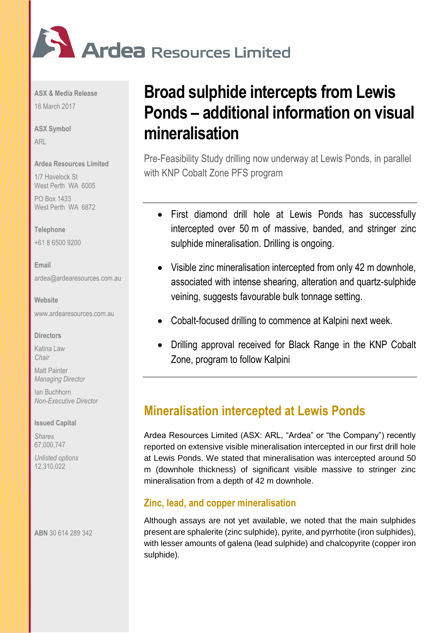

**ASX & Media Release** 16 March 2017

**ASX Symbol** ARL

### **Ardea Resources Limited**

1/7 Havelock St West Perth WA 6005

PO Box 1433 West Perth WA 6872

#### **Telephone**

+61 8 6500 9200

[ardea@ardearesources.com.au](mailto:ardea@ardearesources.com.au)

### **Website**

**Email**

[www.ardearesources.com.au](http://www.ardearesources.com.au/)

### **Directors**

Katina Law *Chair*

Matt Painter *Managing Director*

Ian Buchhorn *Non-Executive Director*

### **Issued Capital**

*Shares* 67,000,747

*Unlisted options* 12,310,022

**ABN** 30 614 289 342

# **Broad sulphide intercepts from Lewis Ponds – additional information on visual mineralisation**

Pre-Feasibility Study drilling now underway at Lewis Ponds, in parallel with KNP Cobalt Zone PFS program

- First diamond drill hole at Lewis Ponds has successfully intercepted over 50 m of massive, banded, and stringer zinc sulphide mineralisation. Drilling is ongoing.
- Visible zinc mineralisation intercepted from only 42 m downhole, associated with intense shearing, alteration and quartz-sulphide veining, suggests favourable bulk tonnage setting.
- Cobalt-focused drilling to commence at Kalpini next week.
- Drilling approval received for Black Range in the KNP Cobalt Zone, program to follow Kalpini

## **Mineralisation intercepted at Lewis Ponds**

Ardea Resources Limited (ASX: ARL, "Ardea" or "the Company") recently reported on extensive visible mineralisation intercepted in our first drill hole at Lewis Ponds. We stated that mineralisation was intercepted around 50 m (downhole thickness) of significant visible massive to stringer zinc mineralisation from a depth of 42 m downhole.

### **Zinc, lead, and copper mineralisation**

Although assays are not yet available, we noted that the main sulphides present are sphalerite (zinc sulphide), pyrite, and pyrrhotite (iron sulphides), with lesser amounts of galena (lead sulphide) and chalcopyrite (copper iron sulphide).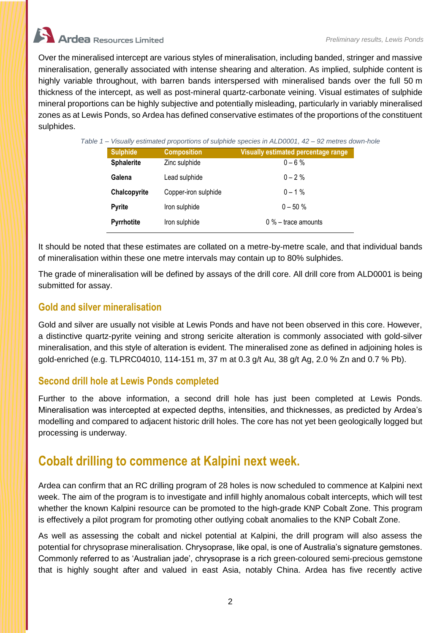Over the mineralised intercept are various styles of mineralisation, including banded, stringer and massive mineralisation, generally associated with intense shearing and alteration. As implied, sulphide content is highly variable throughout, with barren bands interspersed with mineralised bands over the full 50 m thickness of the intercept, as well as post-mineral quartz-carbonate veining. Visual estimates of sulphide mineral proportions can be highly subjective and potentially misleading, particularly in variably mineralised zones as at Lewis Ponds, so Ardea has defined conservative estimates of the proportions of the constituent sulphides.

*Table 1 – Visually estimated proportions of sulphide species in ALD0001, 42 – 92 metres down-hole*

| <b>Sulphide</b>   | <b>Composition</b>   | Visually estimated percentage range |
|-------------------|----------------------|-------------------------------------|
| <b>Sphalerite</b> | Zinc sulphide        | $0 - 6 \%$                          |
| Galena            | Lead sulphide        | $0 - 2\%$                           |
| Chalcopyrite      | Copper-iron sulphide | $0 - 1\%$                           |
| <b>Pyrite</b>     | Iron sulphide        | $0 - 50 \%$                         |
| Pyrrhotite        | Iron sulphide        | $0%$ – trace amounts                |

It should be noted that these estimates are collated on a metre-by-metre scale, and that individual bands of mineralisation within these one metre intervals may contain up to 80% sulphides.

The grade of mineralisation will be defined by assays of the drill core. All drill core from ALD0001 is being submitted for assay.

### **Gold and silver mineralisation**

Gold and silver are usually not visible at Lewis Ponds and have not been observed in this core. However, a distinctive quartz-pyrite veining and strong sericite alteration is commonly associated with gold-silver mineralisation, and this style of alteration is evident. The mineralised zone as defined in adjoining holes is gold-enriched (e.g. TLPRC04010, 114-151 m, 37 m at 0.3 g/t Au, 38 g/t Ag, 2.0 % Zn and 0.7 % Pb).

### **Second drill hole at Lewis Ponds completed**

Further to the above information, a second drill hole has just been completed at Lewis Ponds. Mineralisation was intercepted at expected depths, intensities, and thicknesses, as predicted by Ardea's modelling and compared to adjacent historic drill holes. The core has not yet been geologically logged but processing is underway.

## **Cobalt drilling to commence at Kalpini next week.**

Ardea can confirm that an RC drilling program of 28 holes is now scheduled to commence at Kalpini next week. The aim of the program is to investigate and infill highly anomalous cobalt intercepts, which will test whether the known Kalpini resource can be promoted to the high-grade KNP Cobalt Zone. This program is effectively a pilot program for promoting other outlying cobalt anomalies to the KNP Cobalt Zone.

As well as assessing the cobalt and nickel potential at Kalpini, the drill program will also assess the potential for chrysoprase mineralisation. Chrysoprase, like opal, is one of Australia's signature gemstones. Commonly referred to as 'Australian jade', chrysoprase is a rich green-coloured semi-precious gemstone that is highly sought after and valued in east Asia, notably China. Ardea has five recently active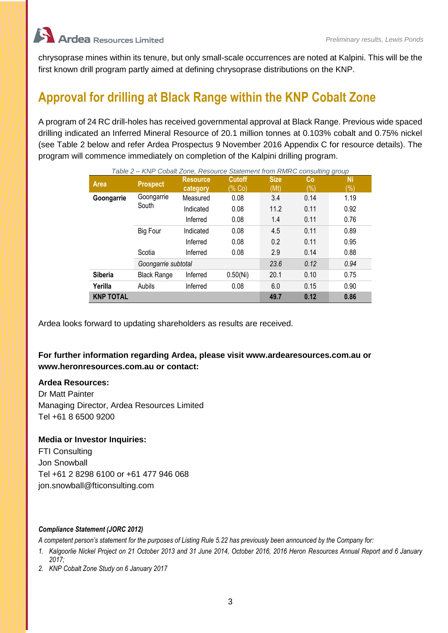chrysoprase mines within its tenure, but only small-scale occurrences are noted at Kalpini. This will be the first known drill program partly aimed at defining chrysoprase distributions on the KNP.

## **Approval for drilling at Black Range within the KNP Cobalt Zone**

<span id="page-2-0"></span>A program of 24 RC drill-holes has received governmental approval at Black Range. Previous wide spaced drilling indicated an Inferred Mineral Resource of 20.1 million tonnes at 0.103% cobalt and 0.75% nickel (see [Table 2](#page-2-0) below and refer Ardea Prospectus 9 November 2016 Appendix C for resource details). The program will commence immediately on completion of the Kalpini drilling program.

|                  | Table 2 – KNP Cobalt Zone, Resource Statement from RMRC consulting group |                 |               |             |      |        |
|------------------|--------------------------------------------------------------------------|-----------------|---------------|-------------|------|--------|
|                  |                                                                          | <b>Resource</b> | <b>Cutoff</b> | <b>Size</b> | Co   | Ni     |
| Area             | <b>Prospect</b>                                                          | category        | $(\%$ Co)     | (Mt)        | (%)  | $(\%)$ |
| Goongarrie       | Goongarrie                                                               | Measured        | 0.08          | 3.4         | 0.14 | 1.19   |
|                  | South                                                                    | Indicated       | 0.08          | 11.2        | 0.11 | 0.92   |
|                  |                                                                          | Inferred        | 0.08          | 1.4         | 0.11 | 0.76   |
|                  | Big Four                                                                 | Indicated       | 0.08          | 4.5         | 0.11 | 0.89   |
|                  |                                                                          | Inferred        | 0.08          | 0.2         | 0.11 | 0.95   |
|                  | Scotia                                                                   | Inferred        | 0.08          | 2.9         | 0.14 | 0.88   |
|                  | Goongarrie subtotal                                                      |                 |               | 23.6        | 0.12 | 0.94   |
| <b>Siberia</b>   | <b>Black Range</b>                                                       | Inferred        | 0.50(Ni)      | 20.1        | 0.10 | 0.75   |
| Yerilla          | <b>Aubils</b>                                                            | Inferred        | 0.08          | 6.0         | 0.15 | 0.90   |
| <b>KNP TOTAL</b> |                                                                          |                 |               | 49.7        | 0.12 | 0.86   |

Ardea looks forward to updating shareholders as results are received.

**For further information regarding Ardea, please visit www.ardearesources.com.au or www.heronresources.com.au or contact:**

### **Ardea Resources:**

Dr Matt Painter Managing Director, Ardea Resources Limited Tel +61 8 6500 9200

### **Media or Investor Inquiries:**

FTI Consulting Jon Snowball Tel +61 2 8298 6100 or +61 477 946 068 jon.snowball@fticonsulting.com

### *Compliance Statement (JORC 2012)*

*A competent person's statement for the purposes of Listing Rule 5.22 has previously been announced by the Company for:*

- *1. Kalgoorlie Nickel Project on 21 October 2013 and 31 June 2014, October 2016, 2016 Heron Resources Annual Report and 6 January 2017;*
- *2. KNP Cobalt Zone Study on 6 January 2017*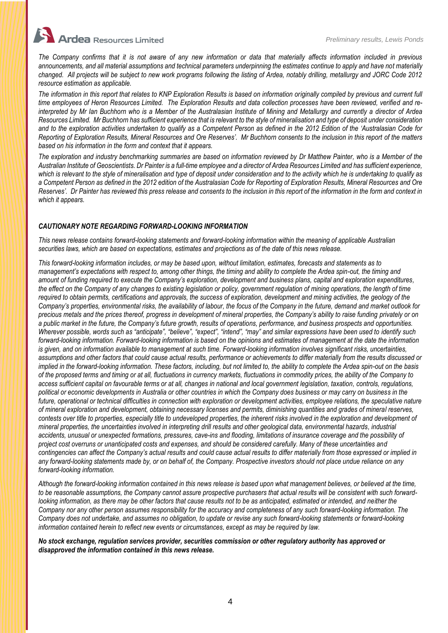*The Company confirms that it is not aware of any new information or data that materially affects information included in previous announcements, and all material assumptions and technical parameters underpinning the estimates continue to apply and have not materially changed. All projects will be subject to new work programs following the listing of Ardea, notably drilling, metallurgy and JORC Code 2012 resource estimation as applicable.*

*The information in this report that relates to KNP Exploration Results is based on information originally compiled by previous and current full time employees of Heron Resources Limited. The Exploration Results and data collection processes have been reviewed, verified and reinterpreted by Mr Ian Buchhorn who is a Member of the Australasian Institute of Mining and Metallurgy and currently a director of Ardea Resources Limited. Mr Buchhorn has sufficient experience that is relevant to the style of mineralisation and type of deposit under consideration and to the exploration activities undertaken to qualify as a Competent Person as defined in the 2012 Edition of the 'Australasian Code for Reporting of Exploration Results, Mineral Resources and Ore Reserves'. Mr Buchhorn consents to the inclusion in this report of the matters based on his information in the form and context that it appears.*

*The exploration and industry benchmarking summaries are based on information reviewed by Dr Matthew Painter, who is a Member of the Australian Institute of Geoscientists. Dr Painter is a full-time employee and a director of Ardea Resources Limited and has sufficient experience, which is relevant to the style of mineralisation and type of deposit under consideration and to the activity which he is undertaking to qualify as a Competent Person as defined in the 2012 edition of the Australasian Code for Reporting of Exploration Results, Mineral Resources and Ore Reserves'. Dr Painter has reviewed this press release and consents to the inclusion in this report of the information in the form and context in which it appears.*

#### *CAUTIONARY NOTE REGARDING FORWARD-LOOKING INFORMATION*

*This news release contains forward-looking statements and forward-looking information within the meaning of applicable Australian securities laws, which are based on expectations, estimates and projections as of the date of this news release.* 

*This forward-looking information includes, or may be based upon, without limitation, estimates, forecasts and statements as to management's expectations with respect to, among other things, the timing and ability to complete the Ardea spin-out, the timing and amount of funding required to execute the Company's exploration, development and business plans, capital and exploration expenditures, the effect on the Company of any changes to existing legislation or policy, government regulation of mining operations, the length of time required to obtain permits, certifications and approvals, the success of exploration, development and mining activities, the geology of the Company's properties, environmental risks, the availability of labour, the focus of the Company in the future, demand and market outlook for precious metals and the prices thereof, progress in development of mineral properties, the Company's ability to raise funding privately or on*  a public market in the future, the Company's future growth, results of operations, performance, and business prospects and opportunities. *Wherever possible, words such as "anticipate", "believe", "expect", "intend", "may" and similar expressions have been used to identify such forward-looking information. Forward-looking information is based on the opinions and estimates of management at the date the information is given, and on information available to management at such time. Forward-looking information involves significant risks, uncertainties, assumptions and other factors that could cause actual results, performance or achievements to differ materially from the results discussed or implied in the forward-looking information. These factors, including, but not limited to, the ability to complete the Ardea spin-out on the basis of the proposed terms and timing or at all, fluctuations in currency markets, fluctuations in commodity prices, the ability of the Company to access sufficient capital on favourable terms or at all, changes in national and local government legislation, taxation, controls, regulations, political or economic developments in Australia or other countries in which the Company does business or may carry on business in the future, operational or technical difficulties in connection with exploration or development activities, employee relations, the speculative nature of mineral exploration and development, obtaining necessary licenses and permits, diminishing quantities and grades of mineral reserves, contests over title to properties, especially title to undeveloped properties, the inherent risks involved in the exploration and development of mineral properties, the uncertainties involved in interpreting drill results and other geological data, environmental hazards, industrial accidents, unusual or unexpected formations, pressures, cave-ins and flooding, limitations of insurance coverage and the possibility of project cost overruns or unanticipated costs and expenses, and should be considered carefully. Many of these uncertainties and contingencies can affect the Company's actual results and could cause actual results to differ materially from those expressed or implied in any forward-looking statements made by, or on behalf of, the Company. Prospective investors should not place undue reliance on any forward-looking information.* 

*Although the forward-looking information contained in this news release is based upon what management believes, or believed at the time, to be reasonable assumptions, the Company cannot assure prospective purchasers that actual results will be consistent with such forwardlooking information, as there may be other factors that cause results not to be as anticipated, estimated or intended, and neither the Company nor any other person assumes responsibility for the accuracy and completeness of any such forward-looking information. The Company does not undertake, and assumes no obligation, to update or revise any such forward-looking statements or forward-looking information contained herein to reflect new events or circumstances, except as may be required by law.*

*No stock exchange, regulation services provider, securities commission or other regulatory authority has approved or disapproved the information contained in this news release.*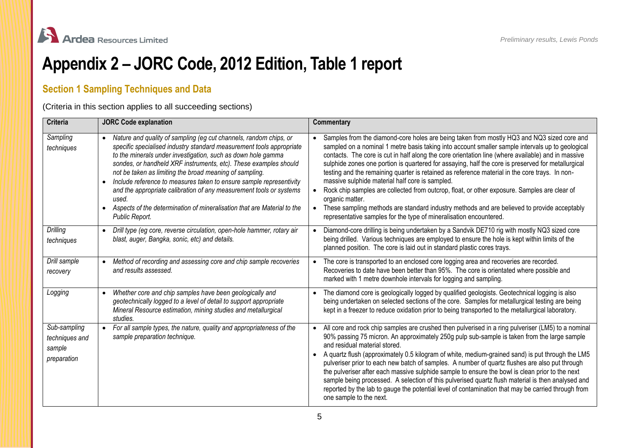

# **Appendix 2 – JORC Code, 2012 Edition, Table 1 report**

### **Section 1 Sampling Techniques and Data**

(Criteria in this section applies to all succeeding sections)

| <b>Criteria</b>                                         | <b>JORC Code explanation</b>                                                                                                                                                                                                                                                                                                                                                                                                                                                                                                                                                                                                        | <b>Commentary</b>                                                                                                                                                                                                                                                                                                                                                                                                                                                                                                                                                                                                                                                                                                                                                                                                                                       |
|---------------------------------------------------------|-------------------------------------------------------------------------------------------------------------------------------------------------------------------------------------------------------------------------------------------------------------------------------------------------------------------------------------------------------------------------------------------------------------------------------------------------------------------------------------------------------------------------------------------------------------------------------------------------------------------------------------|---------------------------------------------------------------------------------------------------------------------------------------------------------------------------------------------------------------------------------------------------------------------------------------------------------------------------------------------------------------------------------------------------------------------------------------------------------------------------------------------------------------------------------------------------------------------------------------------------------------------------------------------------------------------------------------------------------------------------------------------------------------------------------------------------------------------------------------------------------|
| Sampling<br>techniques                                  | Nature and quality of sampling (eg cut channels, random chips, or<br>$\bullet$<br>specific specialised industry standard measurement tools appropriate<br>to the minerals under investigation, such as down hole gamma<br>sondes, or handheld XRF instruments, etc). These examples should<br>not be taken as limiting the broad meaning of sampling.<br>Include reference to measures taken to ensure sample representivity<br>$\bullet$<br>and the appropriate calibration of any measurement tools or systems<br>used.<br>Aspects of the determination of mineralisation that are Material to the<br>$\bullet$<br>Public Report. | Samples from the diamond-core holes are being taken from mostly HQ3 and NQ3 sized core and<br>sampled on a nominal 1 metre basis taking into account smaller sample intervals up to geological<br>contacts. The core is cut in half along the core orientation line (where available) and in massive<br>sulphide zones one portion is quartered for assaying, half the core is preserved for metallurgical<br>testing and the remaining quarter is retained as reference material in the core trays. In non-<br>massive sulphide material half core is sampled.<br>Rock chip samples are collected from outcrop, float, or other exposure. Samples are clear of<br>organic matter.<br>These sampling methods are standard industry methods and are believed to provide acceptably<br>representative samples for the type of mineralisation encountered. |
| <b>Drilling</b><br>techniques                           | Drill type (eg core, reverse circulation, open-hole hammer, rotary air<br>$\bullet$<br>blast, auger, Bangka, sonic, etc) and details.                                                                                                                                                                                                                                                                                                                                                                                                                                                                                               | Diamond-core drilling is being undertaken by a Sandvik DE710 rig with mostly NQ3 sized core<br>being drilled. Various techniques are employed to ensure the hole is kept within limits of the<br>planned position. The core is laid out in standard plastic cores trays.                                                                                                                                                                                                                                                                                                                                                                                                                                                                                                                                                                                |
| Drill sample<br>recovery                                | Method of recording and assessing core and chip sample recoveries<br>$\bullet$<br>and results assessed.                                                                                                                                                                                                                                                                                                                                                                                                                                                                                                                             | The core is transported to an enclosed core logging area and recoveries are recorded.<br>Recoveries to date have been better than 95%. The core is orientated where possible and<br>marked with 1 metre downhole intervals for logging and sampling.                                                                                                                                                                                                                                                                                                                                                                                                                                                                                                                                                                                                    |
| Logging                                                 | Whether core and chip samples have been geologically and<br>$\bullet$<br>geotechnically logged to a level of detail to support appropriate<br>Mineral Resource estimation, mining studies and metallurgical<br>studies.                                                                                                                                                                                                                                                                                                                                                                                                             | The diamond core is geologically logged by qualified geologists. Geotechnical logging is also<br>being undertaken on selected sections of the core. Samples for metallurgical testing are being<br>kept in a freezer to reduce oxidation prior to being transported to the metallurgical laboratory.                                                                                                                                                                                                                                                                                                                                                                                                                                                                                                                                                    |
| Sub-sampling<br>techniques and<br>sample<br>preparation | For all sample types, the nature, quality and appropriateness of the<br>$\bullet$<br>sample preparation technique.                                                                                                                                                                                                                                                                                                                                                                                                                                                                                                                  | All core and rock chip samples are crushed then pulverised in a ring pulveriser (LM5) to a nominal<br>90% passing 75 micron. An approximately 250g pulp sub-sample is taken from the large sample<br>and residual material stored.<br>A quartz flush (approximately 0.5 kilogram of white, medium-grained sand) is put through the LM5<br>$\bullet$<br>pulveriser prior to each new batch of samples. A number of quartz flushes are also put through<br>the pulveriser after each massive sulphide sample to ensure the bowl is clean prior to the next<br>sample being processed. A selection of this pulverised quartz flush material is then analysed and<br>reported by the lab to gauge the potential level of contamination that may be carried through from<br>one sample to the next.                                                          |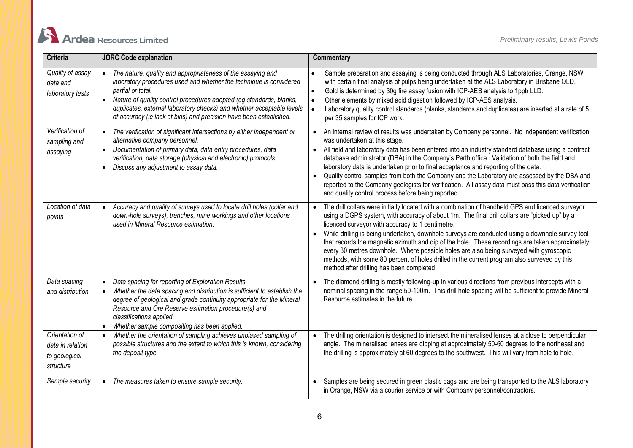| <b>Criteria</b>                                                  | <b>JORC Code explanation</b>                                                                                                                                                                                                                                                                                                                                                              | <b>Commentary</b>                                                                                                                                                                                                                                                                                                                                                                                                                                                                                                                                                                                                                                                                                                                |
|------------------------------------------------------------------|-------------------------------------------------------------------------------------------------------------------------------------------------------------------------------------------------------------------------------------------------------------------------------------------------------------------------------------------------------------------------------------------|----------------------------------------------------------------------------------------------------------------------------------------------------------------------------------------------------------------------------------------------------------------------------------------------------------------------------------------------------------------------------------------------------------------------------------------------------------------------------------------------------------------------------------------------------------------------------------------------------------------------------------------------------------------------------------------------------------------------------------|
| Quality of assay<br>data and<br>laboratory tests                 | The nature, quality and appropriateness of the assaying and<br>laboratory procedures used and whether the technique is considered<br>partial or total.<br>Nature of quality control procedures adopted (eg standards, blanks,<br>$\bullet$<br>duplicates, external laboratory checks) and whether acceptable levels<br>of accuracy (ie lack of bias) and precision have been established. | Sample preparation and assaying is being conducted through ALS Laboratories, Orange, NSW<br>with certain final analysis of pulps being undertaken at the ALS Laboratory in Brisbane QLD.<br>Gold is determined by 30g fire assay fusion with ICP-AES analysis to 1ppb LLD.<br>$\bullet$<br>Other elements by mixed acid digestion followed by ICP-AES analysis.<br>$\bullet$<br>Laboratory quality control standards (blanks, standards and duplicates) are inserted at a rate of 5<br>$\bullet$<br>per 35 samples for ICP work.                                                                                                                                                                                                 |
| Verification of<br>sampling and<br>assaying                      | The verification of significant intersections by either independent or<br>$\bullet$<br>alternative company personnel.<br>Documentation of primary data, data entry procedures, data<br>$\bullet$<br>verification, data storage (physical and electronic) protocols.<br>Discuss any adjustment to assay data.<br>$\bullet$                                                                 | An internal review of results was undertaken by Company personnel. No independent verification<br>$\bullet$<br>was undertaken at this stage.<br>All field and laboratory data has been entered into an industry standard database using a contract<br>$\bullet$<br>database administrator (DBA) in the Company's Perth office. Validation of both the field and<br>laboratory data is undertaken prior to final acceptance and reporting of the data.<br>Quality control samples from both the Company and the Laboratory are assessed by the DBA and<br>$\bullet$<br>reported to the Company geologists for verification. All assay data must pass this data verification<br>and quality control process before being reported. |
| Location of data<br>points                                       | Accuracy and quality of surveys used to locate drill holes (collar and<br>$\bullet$<br>down-hole surveys), trenches, mine workings and other locations<br>used in Mineral Resource estimation.                                                                                                                                                                                            | The drill collars were initially located with a combination of handheld GPS and licenced surveyor<br>$\bullet$<br>using a DGPS system, with accuracy of about 1m. The final drill collars are "picked up" by a<br>licenced surveyor with accuracy to 1 centimetre.<br>While drilling is being undertaken, downhole surveys are conducted using a downhole survey tool<br>$\bullet$<br>that records the magnetic azimuth and dip of the hole. These recordings are taken approximately<br>every 30 metres downhole. Where possible holes are also being surveyed with gyroscopic<br>methods, with some 80 percent of holes drilled in the current program also surveyed by this<br>method after drilling has been completed.      |
| Data spacing<br>and distribution                                 | Data spacing for reporting of Exploration Results.<br>$\bullet$<br>Whether the data spacing and distribution is sufficient to establish the<br>$\bullet$<br>degree of geological and grade continuity appropriate for the Mineral<br>Resource and Ore Reserve estimation procedure(s) and<br>classifications applied.<br>Whether sample compositing has been applied.<br>$\bullet$        | The diamond drilling is mostly following-up in various directions from previous intercepts with a<br>nominal spacing in the range 50-100m. This drill hole spacing will be sufficient to provide Mineral<br>Resource estimates in the future.                                                                                                                                                                                                                                                                                                                                                                                                                                                                                    |
| Orientation of<br>data in relation<br>to geological<br>structure | Whether the orientation of sampling achieves unbiased sampling of<br>$\bullet$<br>possible structures and the extent to which this is known, considering<br>the deposit type.                                                                                                                                                                                                             | The drilling orientation is designed to intersect the mineralised lenses at a close to perpendicular<br>angle. The mineralised lenses are dipping at approximately 50-60 degrees to the northeast and<br>the drilling is approximately at 60 degrees to the southwest. This will vary from hole to hole.                                                                                                                                                                                                                                                                                                                                                                                                                         |
| Sample security                                                  | The measures taken to ensure sample security.<br>$\bullet$                                                                                                                                                                                                                                                                                                                                | Samples are being secured in green plastic bags and are being transported to the ALS laboratory<br>$\bullet$<br>in Orange, NSW via a courier service or with Company personnel/contractors.                                                                                                                                                                                                                                                                                                                                                                                                                                                                                                                                      |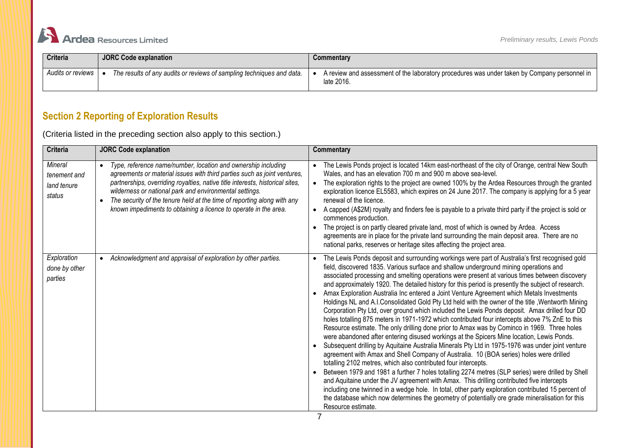| <b>Criteria</b>   | <b>JORC Code explanation</b>                                          | Commentary                                                                                                 |
|-------------------|-----------------------------------------------------------------------|------------------------------------------------------------------------------------------------------------|
| Audits or reviews | The results of any audits or reviews of sampling techniques and data. | A review and assessment of the laboratory procedures was under taken by Company personnel in<br>late 2016. |

### **Section 2 Reporting of Exploration Results**

(Criteria listed in the preceding section also apply to this section.)

| <b>Criteria</b>                                         | <b>JORC Code explanation</b>                                                                                                                                                                                                                                                                                                                                                                                                                                   | Commentary                                                                                                                                                                                                                                                                                                                                                                                                                                                                                                                                                                                                                                                                                                                                                                                                                                                                                                                                                                                                                                                                                                                                                                                                                                                                                                                                                                                                                                                                                                                                                                                                                                                                                      |
|---------------------------------------------------------|----------------------------------------------------------------------------------------------------------------------------------------------------------------------------------------------------------------------------------------------------------------------------------------------------------------------------------------------------------------------------------------------------------------------------------------------------------------|-------------------------------------------------------------------------------------------------------------------------------------------------------------------------------------------------------------------------------------------------------------------------------------------------------------------------------------------------------------------------------------------------------------------------------------------------------------------------------------------------------------------------------------------------------------------------------------------------------------------------------------------------------------------------------------------------------------------------------------------------------------------------------------------------------------------------------------------------------------------------------------------------------------------------------------------------------------------------------------------------------------------------------------------------------------------------------------------------------------------------------------------------------------------------------------------------------------------------------------------------------------------------------------------------------------------------------------------------------------------------------------------------------------------------------------------------------------------------------------------------------------------------------------------------------------------------------------------------------------------------------------------------------------------------------------------------|
| <b>Mineral</b><br>tenement and<br>land tenure<br>status | Type, reference name/number, location and ownership including<br>$\bullet$<br>agreements or material issues with third parties such as joint ventures,<br>partnerships, overriding royalties, native title interests, historical sites,<br>wilderness or national park and environmental settings.<br>The security of the tenure held at the time of reporting along with any<br>$\bullet$<br>known impediments to obtaining a licence to operate in the area. | The Lewis Ponds project is located 14km east-northeast of the city of Orange, central New South<br>Wales, and has an elevation 700 m and 900 m above sea-level.<br>The exploration rights to the project are owned 100% by the Ardea Resources through the granted<br>exploration licence EL5583, which expires on 24 June 2017. The company is applying for a 5 year<br>renewal of the licence.<br>A capped (A\$2M) royalty and finders fee is payable to a private third party if the project is sold or<br>commences production.<br>The project is on partly cleared private land, most of which is owned by Ardea. Access<br>agreements are in place for the private land surrounding the main deposit area. There are no<br>national parks, reserves or heritage sites affecting the project area.                                                                                                                                                                                                                                                                                                                                                                                                                                                                                                                                                                                                                                                                                                                                                                                                                                                                                         |
| Exploration<br>done by other<br>parties                 | Acknowledgment and appraisal of exploration by other parties.                                                                                                                                                                                                                                                                                                                                                                                                  | The Lewis Ponds deposit and surrounding workings were part of Australia's first recognised gold<br>field, discovered 1835. Various surface and shallow underground mining operations and<br>associated processing and smelting operations were present at various times between discovery<br>and approximately 1920. The detailed history for this period is presently the subject of research.<br>Amax Exploration Australia Inc entered a Joint Venture Agreement which Metals Investments<br>Holdings NL and A.I.Consolidated Gold Pty Ltd held with the owner of the title, Wentworth Mining<br>Corporation Pty Ltd, over ground which included the Lewis Ponds deposit. Amax drilled four DD<br>holes totalling 875 meters in 1971-1972 which contributed four intercepts above 7% ZnE to this<br>Resource estimate. The only drilling done prior to Amax was by Cominco in 1969. Three holes<br>were abandoned after entering disused workings at the Spicers Mine location, Lewis Ponds.<br>Subsequent drilling by Aquitaine Australia Minerals Pty Ltd in 1975-1976 was under joint venture<br>agreement with Amax and Shell Company of Australia. 10 (BOA series) holes were drilled<br>totalling 2102 metres, which also contributed four intercepts.<br>Between 1979 and 1981 a further 7 holes totalling 2274 metres (SLP series) were drilled by Shell<br>and Aquitaine under the JV agreement with Amax. This drilling contributed five intercepts<br>including one twinned in a wedge hole. In total, other party exploration contributed 15 percent of<br>the database which now determines the geometry of potentially ore grade mineralisation for this<br>Resource estimate. |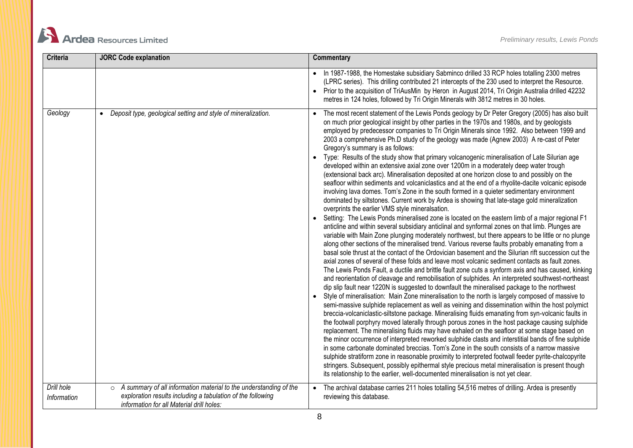

| <b>Criteria</b>           | <b>JORC Code explanation</b>                                                                                                                                                             | Commentary                                                                                                                                                                                                                                                                                                                                                                                                                                                                                                                                                                                                                                                                                                                                                                                                                                                                                                                                                                                                                                                                                                                                                                                                                                                                                                                                                                                                                                                                                                                                                                                                                                                                                                                                                                                                                                                                                                                                                                                                                                                                                                                                                                                                                                                                                                                                                                                                                                                                                                                                                                                                                                                                                                                                                                                                                                                                                                                                                                                                                                |
|---------------------------|------------------------------------------------------------------------------------------------------------------------------------------------------------------------------------------|-------------------------------------------------------------------------------------------------------------------------------------------------------------------------------------------------------------------------------------------------------------------------------------------------------------------------------------------------------------------------------------------------------------------------------------------------------------------------------------------------------------------------------------------------------------------------------------------------------------------------------------------------------------------------------------------------------------------------------------------------------------------------------------------------------------------------------------------------------------------------------------------------------------------------------------------------------------------------------------------------------------------------------------------------------------------------------------------------------------------------------------------------------------------------------------------------------------------------------------------------------------------------------------------------------------------------------------------------------------------------------------------------------------------------------------------------------------------------------------------------------------------------------------------------------------------------------------------------------------------------------------------------------------------------------------------------------------------------------------------------------------------------------------------------------------------------------------------------------------------------------------------------------------------------------------------------------------------------------------------------------------------------------------------------------------------------------------------------------------------------------------------------------------------------------------------------------------------------------------------------------------------------------------------------------------------------------------------------------------------------------------------------------------------------------------------------------------------------------------------------------------------------------------------------------------------------------------------------------------------------------------------------------------------------------------------------------------------------------------------------------------------------------------------------------------------------------------------------------------------------------------------------------------------------------------------------------------------------------------------------------------------------------------------|
|                           |                                                                                                                                                                                          | • In 1987-1988, the Homestake subsidiary Sabminco drilled 33 RCP holes totalling 2300 metres<br>(LPRC series). This drilling contributed 21 intercepts of the 230 used to interpret the Resource.<br>• Prior to the acquisition of TriAusMin by Heron in August 2014, Tri Origin Australia drilled 42232<br>metres in 124 holes, followed by Tri Origin Minerals with 3812 metres in 30 holes.                                                                                                                                                                                                                                                                                                                                                                                                                                                                                                                                                                                                                                                                                                                                                                                                                                                                                                                                                                                                                                                                                                                                                                                                                                                                                                                                                                                                                                                                                                                                                                                                                                                                                                                                                                                                                                                                                                                                                                                                                                                                                                                                                                                                                                                                                                                                                                                                                                                                                                                                                                                                                                            |
| Geology                   | Deposit type, geological setting and style of mineralization.                                                                                                                            | The most recent statement of the Lewis Ponds geology by Dr Peter Gregory (2005) has also built<br>on much prior geological insight by other parties in the 1970s and 1980s, and by geologists<br>employed by predecessor companies to Tri Origin Minerals since 1992. Also between 1999 and<br>2003 a comprehensive Ph.D study of the geology was made (Agnew 2003) A re-cast of Peter<br>Gregory's summary is as follows:<br>Type: Results of the study show that primary volcanogenic mineralisation of Late Silurian age<br>developed within an extensive axial zone over 1200m in a moderately deep water trough<br>(extensional back arc). Mineralisation deposited at one horizon close to and possibly on the<br>seafloor within sediments and volcaniclastics and at the end of a rhyolite-dacite volcanic episode<br>involving lava domes. Tom's Zone in the south formed in a quieter sedimentary environment<br>dominated by siltstones. Current work by Ardea is showing that late-stage gold mineralization<br>overprints the earlier VMS style mineralsation.<br>Setting: The Lewis Ponds mineralised zone is located on the eastern limb of a major regional F1<br>anticline and within several subsidiary anticlinal and synformal zones on that limb. Plunges are<br>variable with Main Zone plunging moderately northwest, but there appears to be little or no plunge<br>along other sections of the mineralised trend. Various reverse faults probably emanating from a<br>basal sole thrust at the contact of the Ordovician basement and the Silurian rift succession cut the<br>axial zones of several of these folds and leave most volcanic sediment contacts as fault zones.<br>The Lewis Ponds Fault, a ductile and brittle fault zone cuts a synform axis and has caused, kinking<br>and reorientation of cleavage and remobilisation of sulphides. An interpreted southwest-northeast<br>dip slip fault near 1220N is suggested to downfault the mineralised package to the northwest<br>Style of mineralisation: Main Zone mineralisation to the north is largely composed of massive to<br>semi-massive sulphide replacement as well as veining and dissemination within the host polymict<br>breccia-volcaniclastic-siltstone package. Mineralising fluids emanating from syn-volcanic faults in<br>the footwall porphyry moved laterally through porous zones in the host package causing sulphide<br>replacement. The mineralising fluids may have exhaled on the seafloor at some stage based on<br>the minor occurrence of interpreted reworked sulphide clasts and interstitial bands of fine sulphide<br>in some carbonate dominated breccias. Tom's Zone in the south consists of a narrow massive<br>sulphide stratiform zone in reasonable proximity to interpreted footwall feeder pyrite-chalcopyrite<br>stringers. Subsequent, possibly epithermal style precious metal mineralisation is present though<br>its relationship to the earlier, well-documented mineralisation is not yet clear. |
| Drill hole<br>Information | A summary of all information material to the understanding of the<br>$\circ$<br>exploration results including a tabulation of the following<br>information for all Material drill holes: | The archival database carries 211 holes totalling 54,516 metres of drilling. Ardea is presently<br>reviewing this database.                                                                                                                                                                                                                                                                                                                                                                                                                                                                                                                                                                                                                                                                                                                                                                                                                                                                                                                                                                                                                                                                                                                                                                                                                                                                                                                                                                                                                                                                                                                                                                                                                                                                                                                                                                                                                                                                                                                                                                                                                                                                                                                                                                                                                                                                                                                                                                                                                                                                                                                                                                                                                                                                                                                                                                                                                                                                                                               |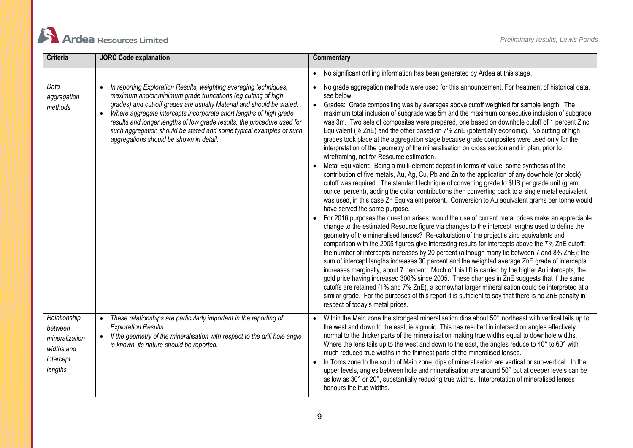| Criteria                                                                        | <b>JORC Code explanation</b>                                                                                                                                                                                                                                                                                                                                                                                                                                                                            | <b>Commentary</b>                                                                                                                                                                                                                                                                                                                                                                                                                                                                                                                                                                                                                                                                                                                                                                                                                                                                                                                                                                                                                                                                                                                                                                                                                                                                                                                                                                                                                                                                                                                                                                                                                                                                                                                                                                                                                                                                                                                                                                                                                                                                                                                                                                                                                                                                                                                                                                          |
|---------------------------------------------------------------------------------|---------------------------------------------------------------------------------------------------------------------------------------------------------------------------------------------------------------------------------------------------------------------------------------------------------------------------------------------------------------------------------------------------------------------------------------------------------------------------------------------------------|--------------------------------------------------------------------------------------------------------------------------------------------------------------------------------------------------------------------------------------------------------------------------------------------------------------------------------------------------------------------------------------------------------------------------------------------------------------------------------------------------------------------------------------------------------------------------------------------------------------------------------------------------------------------------------------------------------------------------------------------------------------------------------------------------------------------------------------------------------------------------------------------------------------------------------------------------------------------------------------------------------------------------------------------------------------------------------------------------------------------------------------------------------------------------------------------------------------------------------------------------------------------------------------------------------------------------------------------------------------------------------------------------------------------------------------------------------------------------------------------------------------------------------------------------------------------------------------------------------------------------------------------------------------------------------------------------------------------------------------------------------------------------------------------------------------------------------------------------------------------------------------------------------------------------------------------------------------------------------------------------------------------------------------------------------------------------------------------------------------------------------------------------------------------------------------------------------------------------------------------------------------------------------------------------------------------------------------------------------------------------------------------|
|                                                                                 |                                                                                                                                                                                                                                                                                                                                                                                                                                                                                                         | • No significant drilling information has been generated by Ardea at this stage.                                                                                                                                                                                                                                                                                                                                                                                                                                                                                                                                                                                                                                                                                                                                                                                                                                                                                                                                                                                                                                                                                                                                                                                                                                                                                                                                                                                                                                                                                                                                                                                                                                                                                                                                                                                                                                                                                                                                                                                                                                                                                                                                                                                                                                                                                                           |
| Data<br>aggregation<br>methods                                                  | In reporting Exploration Results, weighting averaging techniques,<br>$\bullet$<br>maximum and/or minimum grade truncations (eg cutting of high<br>grades) and cut-off grades are usually Material and should be stated.<br>Where aggregate intercepts incorporate short lengths of high grade<br>$\bullet$<br>results and longer lengths of low grade results, the procedure used for<br>such aggregation should be stated and some typical examples of such<br>aggregations should be shown in detail. | No grade aggregation methods were used for this announcement. For treatment of historical data,<br>$\bullet$<br>see below.<br>Grades: Grade compositing was by averages above cutoff weighted for sample length. The<br>$\bullet$<br>maximum total inclusion of subgrade was 5m and the maximum consecutive inclusion of subgrade<br>was 3m. Two sets of composites were prepared, one based on downhole cutoff of 1 percent Zinc<br>Equivalent (% ZnE) and the other based on 7% ZnE (potentially economic). No cutting of high<br>grades took place at the aggregation stage because grade composites were used only for the<br>interpretation of the geometry of the mineralisation on cross section and in plan, prior to<br>wireframing, not for Resource estimation.<br>Metal Equivalent: Being a multi-element deposit in terms of value, some synthesis of the<br>contribution of five metals, Au, Ag, Cu, Pb and Zn to the application of any downhole (or block)<br>cutoff was required. The standard technique of converting grade to \$US per grade unit (gram,<br>ounce, percent), adding the dollar contributions then converting back to a single metal equivalent<br>was used, in this case Zn Equivalent percent. Conversion to Au equivalent grams per tonne would<br>have served the same purpose.<br>For 2016 purposes the question arises: would the use of current metal prices make an appreciable<br>change to the estimated Resource figure via changes to the intercept lengths used to define the<br>geometry of the mineralised lenses? Re-calculation of the project's zinc equivalents and<br>comparison with the 2005 figures give interesting results for intercepts above the 7% ZnE cutoff:<br>the number of intercepts increases by 20 percent (although many lie between 7 and 8% ZnE); the<br>sum of intercept lengths increases 30 percent and the weighted average ZnE grade of intercepts<br>increases marginally, about 7 percent. Much of this lift is carried by the higher Au intercepts, the<br>gold price having increased 300% since 2005. These changes in ZnE suggests that if the same<br>cutoffs are retained (1% and 7% ZnE), a somewhat larger mineralisation could be interpreted at a<br>similar grade. For the purposes of this report it is sufficient to say that there is no ZnE penalty in<br>respect of today's metal prices. |
| Relationship<br>between<br>mineralization<br>widths and<br>intercept<br>lengths | These relationships are particularly important in the reporting of<br>$\bullet$<br><b>Exploration Results.</b><br>If the geometry of the mineralisation with respect to the drill hole angle<br>$\bullet$<br>is known, its nature should be reported.                                                                                                                                                                                                                                                   | Within the Main zone the strongest mineralisation dips about 50° northeast with vertical tails up to<br>the west and down to the east, ie sigmoid. This has resulted in intersection angles effectively<br>normal to the thicker parts of the mineralisation making true widths equal to downhole widths.<br>Where the lens tails up to the west and down to the east, the angles reduce to 40° to 60° with<br>much reduced true widths in the thinnest parts of the mineralised lenses.<br>In Toms zone to the south of Main zone, dips of mineralisation are vertical or sub-vertical. In the<br>$\bullet$<br>upper levels, angles between hole and mineralisation are around 50° but at deeper levels can be<br>as low as 30° or 20°, substantially reducing true widths. Interpretation of mineralised lenses<br>honours the true widths.                                                                                                                                                                                                                                                                                                                                                                                                                                                                                                                                                                                                                                                                                                                                                                                                                                                                                                                                                                                                                                                                                                                                                                                                                                                                                                                                                                                                                                                                                                                                              |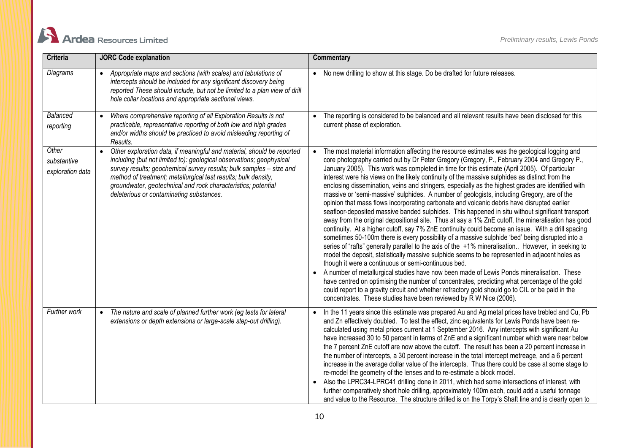| Criteria                                 | <b>JORC Code explanation</b>                                                                                                                                                                                                                                                                                                                                                                                      | <b>Commentary</b>                                                                                                                                                                                                                                                                                                                                                                                                                                                                                                                                                                                                                                                                                                                                                                                                                                                                                                                                                                                                                                                                                                                                                                                                                                                                                                                                                                                                                                                                                                                                                                                                                                                                                                                                         |
|------------------------------------------|-------------------------------------------------------------------------------------------------------------------------------------------------------------------------------------------------------------------------------------------------------------------------------------------------------------------------------------------------------------------------------------------------------------------|-----------------------------------------------------------------------------------------------------------------------------------------------------------------------------------------------------------------------------------------------------------------------------------------------------------------------------------------------------------------------------------------------------------------------------------------------------------------------------------------------------------------------------------------------------------------------------------------------------------------------------------------------------------------------------------------------------------------------------------------------------------------------------------------------------------------------------------------------------------------------------------------------------------------------------------------------------------------------------------------------------------------------------------------------------------------------------------------------------------------------------------------------------------------------------------------------------------------------------------------------------------------------------------------------------------------------------------------------------------------------------------------------------------------------------------------------------------------------------------------------------------------------------------------------------------------------------------------------------------------------------------------------------------------------------------------------------------------------------------------------------------|
| <b>Diagrams</b>                          | Appropriate maps and sections (with scales) and tabulations of<br>intercepts should be included for any significant discovery being<br>reported These should include, but not be limited to a plan view of drill<br>hole collar locations and appropriate sectional views.                                                                                                                                        | • No new drilling to show at this stage. Do be drafted for future releases.                                                                                                                                                                                                                                                                                                                                                                                                                                                                                                                                                                                                                                                                                                                                                                                                                                                                                                                                                                                                                                                                                                                                                                                                                                                                                                                                                                                                                                                                                                                                                                                                                                                                               |
| Balanced<br>reporting                    | Where comprehensive reporting of all Exploration Results is not<br>practicable, representative reporting of both low and high grades<br>and/or widths should be practiced to avoid misleading reporting of<br>Results.                                                                                                                                                                                            | The reporting is considered to be balanced and all relevant results have been disclosed for this<br>current phase of exploration.                                                                                                                                                                                                                                                                                                                                                                                                                                                                                                                                                                                                                                                                                                                                                                                                                                                                                                                                                                                                                                                                                                                                                                                                                                                                                                                                                                                                                                                                                                                                                                                                                         |
| Other<br>substantive<br>exploration data | Other exploration data, if meaningful and material, should be reported<br>$\bullet$<br>including (but not limited to): geological observations; geophysical<br>survey results; geochemical survey results; bulk samples - size and<br>method of treatment; metallurgical test results; bulk density,<br>groundwater, geotechnical and rock characteristics; potential<br>deleterious or contaminating substances. | The most material information affecting the resource estimates was the geological logging and<br>core photography carried out by Dr Peter Gregory (Gregory, P., February 2004 and Gregory P.,<br>January 2005). This work was completed in time for this estimate (April 2005). Of particular<br>interest were his views on the likely continuity of the massive sulphides as distinct from the<br>enclosing dissemination, veins and stringers, especially as the highest grades are identified with<br>massive or 'semi-massive' sulphides. A number of geologists, including Gregory, are of the<br>opinion that mass flows incorporating carbonate and volcanic debris have disrupted earlier<br>seafloor-deposited massive banded sulphides. This happened in situ without significant transport<br>away from the original depositional site. Thus at say a 1% ZnE cutoff, the mineralisation has good<br>continuity. At a higher cutoff, say 7% ZnE continuity could become an issue. With a drill spacing<br>sometimes 50-100m there is every possibility of a massive sulphide 'bed' being disrupted into a<br>series of "rafts" generally parallel to the axis of the +1% mineralisation However, in seeking to<br>model the deposit, statistically massive sulphide seems to be represented in adjacent holes as<br>though it were a continuous or semi-continuous bed.<br>A number of metallurgical studies have now been made of Lewis Ponds mineralisation. These<br>have centred on optimising the number of concentrates, predicting what percentage of the gold<br>could report to a gravity circuit and whether refractory gold should go to CIL or be paid in the<br>concentrates. These studies have been reviewed by R W Nice (2006). |
| Further work                             | The nature and scale of planned further work (eg tests for lateral<br>$\bullet$<br>extensions or depth extensions or large-scale step-out drilling).                                                                                                                                                                                                                                                              | In the 11 years since this estimate was prepared Au and Ag metal prices have trebled and Cu, Pb<br>and Zn effectively doubled. To test the effect, zinc equivalents for Lewis Ponds have been re-<br>calculated using metal prices current at 1 September 2016. Any intercepts with significant Au<br>have increased 30 to 50 percent in terms of ZnE and a significant number which were near below<br>the 7 percent ZnE cutoff are now above the cutoff. The result has been a 20 percent increase in<br>the number of intercepts, a 30 percent increase in the total intercept metreage, and a 6 percent<br>increase in the average dollar value of the intercepts. Thus there could be case at some stage to<br>re-model the geometry of the lenses and to re-estimate a block model.<br>Also the LPRC34-LPRC41 drilling done in 2011, which had some intersections of interest, with<br>further comparatively short hole drilling, approximately 100m each, could add a useful tonnage<br>and value to the Resource. The structure drilled is on the Torpy's Shaft line and is clearly open to                                                                                                                                                                                                                                                                                                                                                                                                                                                                                                                                                                                                                                                       |